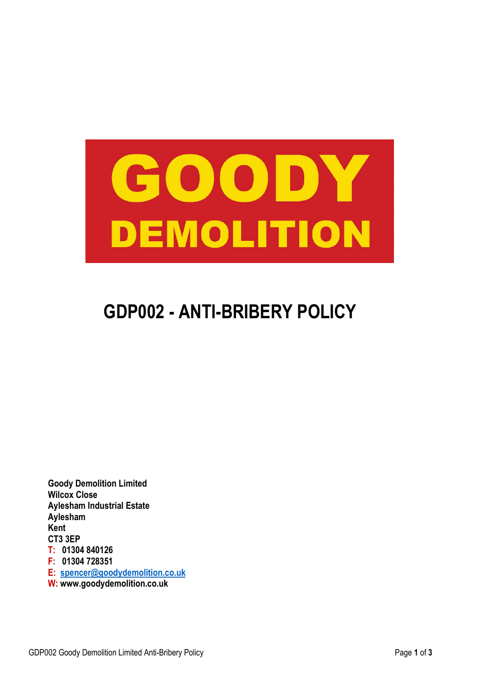

# **GDP002 - ANTI-BRIBERY POLICY**

**Goody Demolition Limited Wilcox Close Aylesham Industrial Estate Aylesham Kent CT3 3EP T: 01304 840126 F: 01304 728351 E: [spencer@goodydemolition.co.uk](file://gdl.local/Internal/Files/1.%20Goody/PQQ/PQQ%20Health%20&%20Safety%20CD/Company%20Polices/spencer@goodydemolition.co.uk) W: www.goodydemolition.co.uk**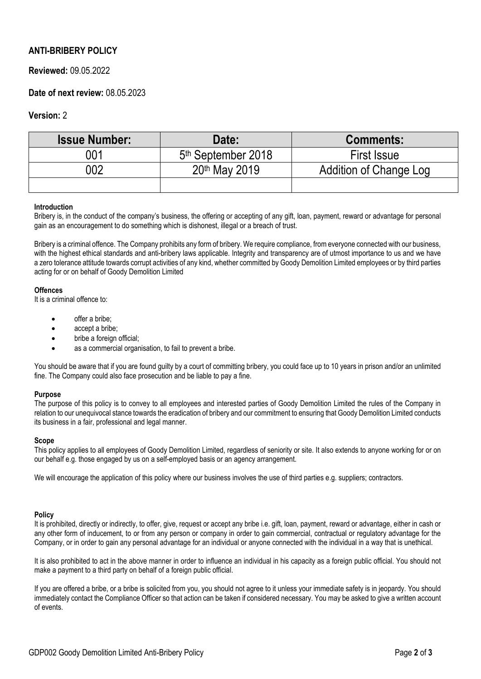## **ANTI-BRIBERY POLICY**

## **Reviewed:** 09.05.2022

## **Date of next review:** 08.05.2023

### **Version:** 2

| <b>Issue Number:</b> | Date:                          | <b>Comments:</b>       |
|----------------------|--------------------------------|------------------------|
| 001                  | 5 <sup>th</sup> September 2018 | <b>First Issue</b>     |
| 002                  | 20th May 2019                  | Addition of Change Log |
|                      |                                |                        |

#### **Introduction**

Bribery is, in the conduct of the company's business, the offering or accepting of any gift, loan, payment, reward or advantage for personal gain as an encouragement to do something which is dishonest, illegal or a breach of trust.

Bribery is a criminal offence. The Company prohibits any form of bribery. We require compliance, from everyone connected with our business, with the highest ethical standards and anti-bribery laws applicable. Integrity and transparency are of utmost importance to us and we have a zero tolerance attitude towards corrupt activities of any kind, whether committed by Goody Demolition Limited employees or by third parties acting for or on behalf of Goody Demolition Limited

#### **Offences**

It is a criminal offence to:

- offer a bribe:
- accept a bribe;
- bribe a foreign official;
- as a commercial organisation, to fail to prevent a bribe.

You should be aware that if you are found guilty by a court of committing bribery, you could face up to 10 years in prison and/or an unlimited fine. The Company could also face prosecution and be liable to pay a fine.

#### **Purpose**

The purpose of this policy is to convey to all employees and interested parties of Goody Demolition Limited the rules of the Company in relation to our unequivocal stance towards the eradication of bribery and our commitment to ensuring that Goody Demolition Limited conducts its business in a fair, professional and legal manner.

#### **Scope**

This policy applies to all employees of Goody Demolition Limited, regardless of seniority or site. It also extends to anyone working for or on our behalf e.g. those engaged by us on a self-employed basis or an agency arrangement.

We will encourage the application of this policy where our business involves the use of third parties e.g. suppliers; contractors.

#### **Policy**

It is prohibited, directly or indirectly, to offer, give, request or accept any bribe i.e. gift, loan, payment, reward or advantage, either in cash or any other form of inducement, to or from any person or company in order to gain commercial, contractual or regulatory advantage for the Company, or in order to gain any personal advantage for an individual or anyone connected with the individual in a way that is unethical.

It is also prohibited to act in the above manner in order to influence an individual in his capacity as a foreign public official. You should not make a payment to a third party on behalf of a foreign public official.

If you are offered a bribe, or a bribe is solicited from you, you should not agree to it unless your immediate safety is in jeopardy. You should immediately contact the Compliance Officer so that action can be taken if considered necessary. You may be asked to give a written account of events.